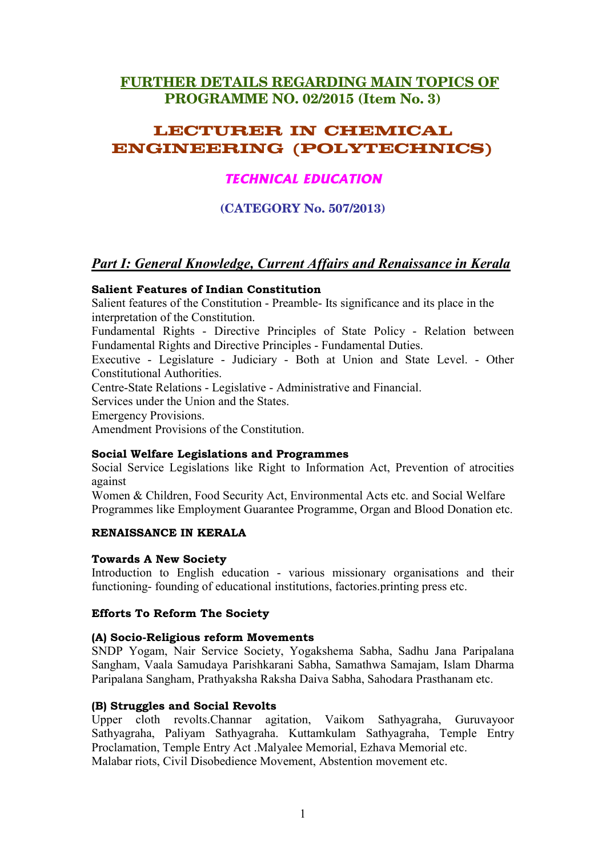# **FURTHER DETAILS REGARDING MAIN TOPICS OF** PROGRAMME NO. 02/2015 (Item No. 3)

# **LECTURER IN CHEMICAL ENGINEERING (POLYTECHNICS)**

# **TECHNICAL EDUCATION**

(CATEGORY No. 507/2013)

# **Part I: General Knowledge, Current Affairs and Renaissance in Kerala**

### **Salient Features of Indian Constitution**

Salient features of the Constitution - Preamble- Its significance and its place in the interpretation of the Constitution.

Fundamental Rights - Directive Principles of State Policy - Relation between Fundamental Rights and Directive Principles - Fundamental Duties.

Executive - Legislature - Judiciary - Both at Union and State Level. - Other **Constitutional Authorities.** 

Centre-State Relations - Legislative - Administrative and Financial.

Services under the Union and the States.

**Emergency Provisions.** 

Amendment Provisions of the Constitution.

### **Social Welfare Legislations and Programmes**

Social Service Legislations like Right to Information Act, Prevention of atrocities against

Women & Children, Food Security Act, Environmental Acts etc. and Social Welfare Programmes like Employment Guarantee Programme, Organ and Blood Donation etc.

### RENAISSANCE IN KERALA

### **Towards A New Society**

Introduction to English education - various missionary organisations and their functioning- founding of educational institutions, factories printing press etc.

### **Efforts To Reform The Society**

### (A) Socio-Religious reform Movements

SNDP Yogam, Nair Service Society, Yogakshema Sabha, Sadhu Jana Paripalana Sangham, Vaala Samudaya Parishkarani Sabha, Samathwa Samajam, Islam Dharma Paripalana Sangham, Prathyaksha Raksha Daiva Sabha, Sahodara Prasthanam etc.

### (B) Struggles and Social Revolts

Upper cloth revolts. Channar agitation, Vaikom Sathyagraha, Guruvayoor Sathyagraha, Paliyam Sathyagraha. Kuttamkulam Sathyagraha, Temple Entry Proclamation, Temple Entry Act .Malyalee Memorial, Ezhava Memorial etc. Malabar riots, Civil Disobedience Movement, Abstention movement etc.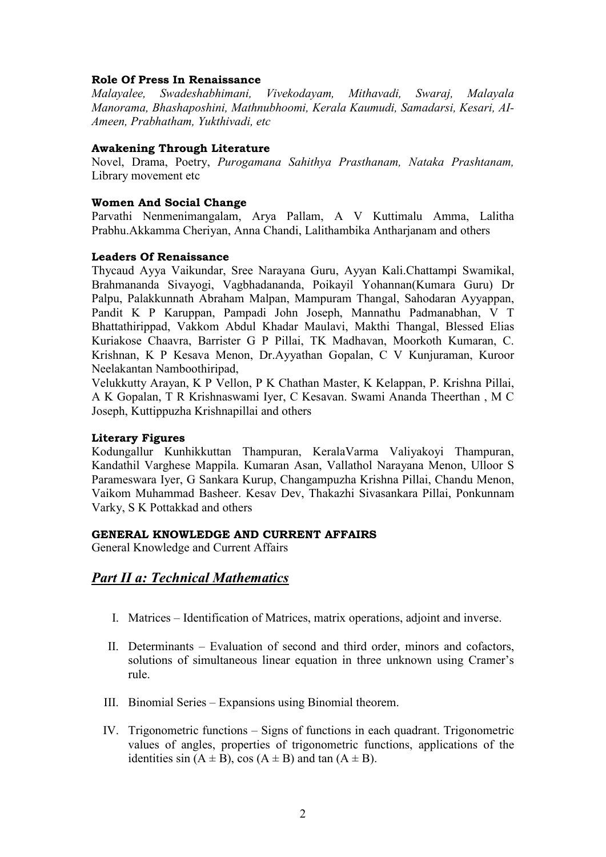### **Role Of Press In Renaissance**

*Malayalee, Swadeshabhimani, Vivekodayam, Mithavadi, Swaraj, Malayala Manorama, Bhashaposhini, Mathnubhoomi, Kerala Kaumudi, Samadarsi, Kesari, AI-Ameen, Prabhatham, Yukthivadi, etc.* 

### **Awakening Through Literature**

Novel, Drama, Poetry, *Purogamana Sahithya Prasthanam, Nataka Prashtanam,* Library movement etc

#### **Women And Social Change**

Parvathi Nenmenimangalam, Arya Pallam, A V Kuttimalu Amma, Lalitha Prabhu.Akkamma Cheriyan, Anna Chandi, Lalithambika Antharianam and others

#### **Leaders Of Renaissance**

Thycaud Ayya Vaikundar, Sree Narayana Guru, Ayyan Kali.Chattampi Swamikal, Brahmananda Sivayogi, Vagbhadananda, Poikayil Yohannan(Kumara Guru) Dr Palpu, Palakkunnath Abraham Malpan, Mampuram Thangal, Sahodaran Ayyappan, Pandit K P Karuppan, Pampadi John Joseph, Mannathu Padmanabhan, V T Bhattathirippad, Vakkom Abdul Khadar Maulavi, Makthi Thangal, Blessed Elias Kuriakose Chaavra, Barrister G P Pillai, TK Madhavan, Moorkoth Kumaran, C. Krishnan, K P Kesava Menon, Dr.Ayyathan Gopalan, C V Kunjuraman, Kuroor Neelakantan Namboothiripad,

Velukkutty Arayan, K P Vellon, P K Chathan Master, K Kelappan, P. Krishna Pillai, A K Gopalan, T R Krishnaswami Iyer, C Kesavan. Swami Ananda Theerthan, M C Joseph, Kuttippuzha Krishnapillai and others

#### **Literary Figures**

Kodungallur Kunhikkuttan Thampuran, KeralaVarma Valiyakoyi Thampuran, Kandathil Varghese Mappila, Kumaran Asan, Vallathol Narayana Menon, Ulloor S Parameswara Iyer, G Sankara Kurup, Changampuzha Krishna Pillai, Chandu Menon, Vaikom Muhammad Basheer. Kesav Dev, Thakazhi Sivasankara Pillai, Ponkunnam Varky, S K Pottakkad and others

#### **LABREAL KNOWLEDGE AND CURRENT AFFAIRS**

General Knowledge and Current Affairs

## *Part II a: Technical Mathematics*

- I. Matrices Identification of Matrices, matrix operations, adjoint and inverse.
- II. Determinants Evaluation of second and third order, minors and cofactors, solutions of simultaneous linear equation in three unknown using Cramer's rule.
- III. Binomial Series Expansions using Binomial theorem.
- IV. Trigonometric functions Signs of functions in each quadrant. Trigonometric values of angles, properties of trigonometric functions, applications of the identities sin  $(A \pm B)$ , cos  $(A \pm B)$  and tan  $(A \pm B)$ .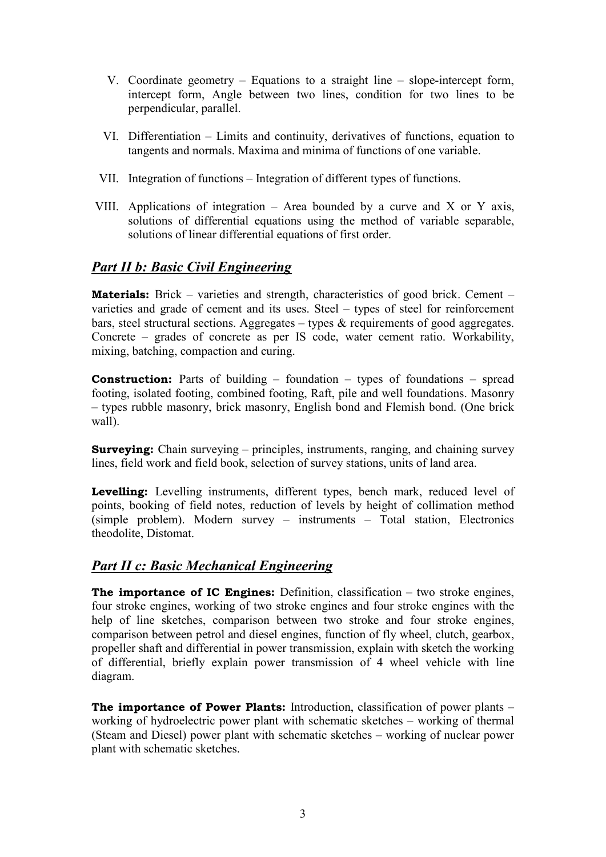- V. Coordinate geometry Equations to a straight line slope-intercept form, intercept form, Angle between two lines, condition for two lines to be perpendicular, parallel.
- VI. Differentiation Limits and continuity, derivatives of functions, equation to tangents and normals. Maxima and minima of functions of one variable.
- VII. Integration of functions Integration of different types of functions.
- VIII. Applications of integration  $-$  Area bounded by a curve and X or Y axis, solutions of differential equations using the method of variable separable, solutions of linear differential equations of first order.

# **Part II b: Basic Civil Engineering**

**Materials:** Brick – varieties and strength, characteristics of good brick. Cement – varieties and grade of cement and its uses. Steel – types of steel for reinforcement bars, steel structural sections. Aggregates – types  $\&$  requirements of good aggregates. Concrete – grades of concrete as per IS code, water cement ratio. Workability, mixing, batching, compaction and curing.

**Construction:** Parts of building  $-$  foundation  $-$  types of foundations  $-$  spread footing, isolated footing, combined footing, Raft, pile and well foundations. Masonry - types rubble masonry, brick masonry, English bond and Flemish bond. (One brick wall).

**Surveying:** Chain surveying – principles, instruments, ranging, and chaining survey lines, field work and field book, selection of survey stations, units of land area.

Levelling: Levelling instruments, different types, bench mark, reduced level of points, booking of field notes, reduction of levels by height of collimation method (simple problem). Modern survey – instruments – Total station, Electronics theodolite, Distomat.

# **Part II c: Basic Mechanical Engineering**

**The importance of IC Engines:** Definition, classification  $-$  two stroke engines, four stroke engines, working of two stroke engines and four stroke engines with the help of line sketches, comparison between two stroke and four stroke engines, comparison between petrol and diesel engines, function of fly wheel, clutch, gearbox, propeller shaft and differential in power transmission, explain with sketch the working of differential, briefly explain power transmission of 4 wheel vehicle with line diagram.

The importance of Power Plants: Introduction, classification of power plants working of hydroelectric power plant with schematic sketches – working of thermal (Steam and Diesel) power plant with schematic sketches – working of nuclear power plant with schematic sketches.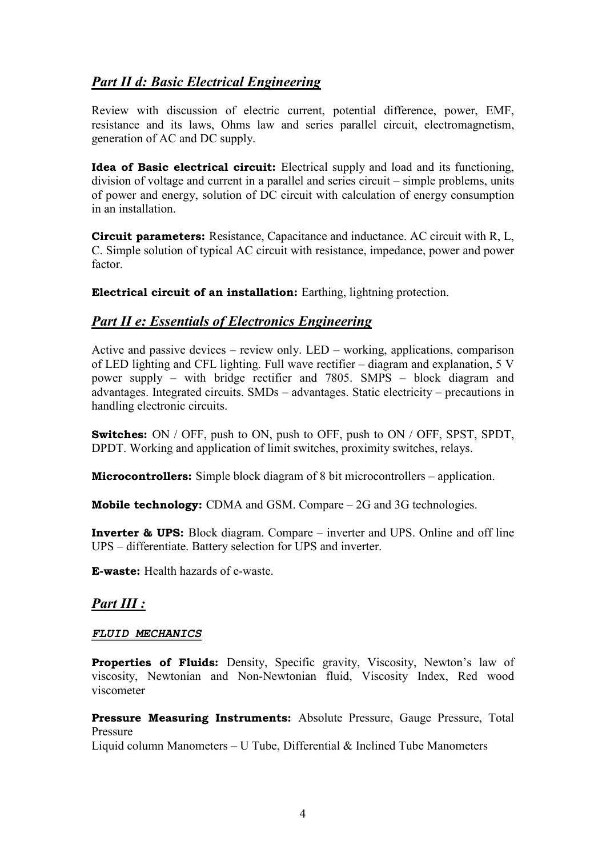# **Part II d: Basic Electrical Engineering**

Review with discussion of electric current, potential difference, power, EMF, resistance and its laws, Ohms law and series parallel circuit, electromagnetism, generation of AC and DC supply.

**Idea of Basic electrical circuit:** Electrical supply and load and its functioning, division of voltage and current in a parallel and series circuit – simple problems, units of power and energy, solution of DC circuit with calculation of energy consumption in an installation

**Circuit parameters:** Resistance, Capacitance and inductance. AC circuit with R. L. C. Simple solution of typical AC circuit with resistance, impedance, power and power factor

Electrical circuit of an installation: Earthing, lightning protection.

# **Part II e: Essentials of Electronics Engineering**

Active and passive devices – review only. LED – working, applications, comparison of LED lighting and CFL lighting. Full wave rectifier – diagram and explanation, 5 V power supply – with bridge rectifier and 7805. SMPS – block diagram and advantages. Integrated circuits. SMDs – advantages. Static electricity – precautions in handling electronic circuits.

**Switches:** ON / OFF, push to ON, push to OFF, push to ON / OFF, SPST, SPDT, DPDT. Working and application of limit switches, proximity switches, relays.

**Microcontrollers:** Simple block diagram of 8 bit microcontrollers – application.

**Mobile technology:** CDMA and GSM. Compare  $-2G$  and 3G technologies.

**Inverter & UPS:** Block diagram. Compare – inverter and UPS. Online and off line UPS – differentiate. Battery selection for UPS and inverter.

**E-waste:** Health hazards of e-waste

# **Part III :**

### **FLUID MECHANICS**

**Properties of Fluids:** Density, Specific gravity, Viscosity, Newton's law of viscosity, Newtonian and Non-Newtonian fluid, Viscosity Index, Red wood viscometer

Pressure Measuring Instruments: Absolute Pressure, Gauge Pressure, Total Pressure

Liquid column Manometers – U Tube. Differential  $\&$  Inclined Tube Manometers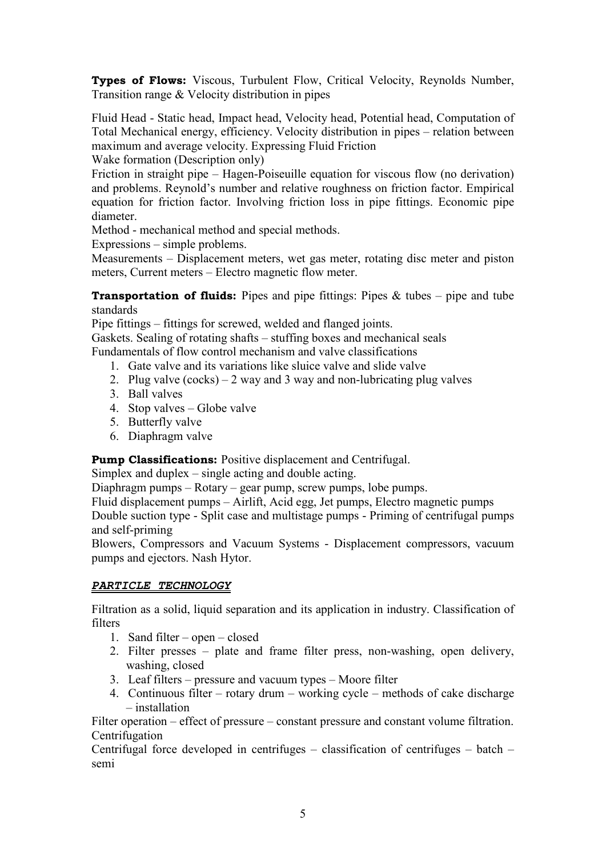**Types of Flows:** Viscous, Turbulent Flow, Critical Velocity, Reynolds Number, Transition range & Velocity distribution in pipes

Fluid Head - Static head, Impact head, Velocity head, Potential head, Computation of Total Mechanical energy, efficiency. Velocity distribution in pipes – relation between maximum and average velocity. Expressing Fluid Friction

Wake formation (Description only)

Friction in straight pipe – Hagen-Poiseuille equation for viscous flow (no derivation) and problems. Reynold's number and relative roughness on friction factor. Empirical equation for friction factor. Involving friction loss in pipe fittings. Economic pipe diameter.

Method - mechanical method and special methods.

Expressions – simple problems.

Measurements - Displacement meters, wet gas meter, rotating disc meter and piston meters, Current meters – Electro magnetic flow meter.

**Transportation of fluids:** Pipes and pipe fittings: Pipes  $\&$  tubes – pipe and tube standards

Pipe fittings – fittings for screwed, welded and flanged joints.

Gaskets. Sealing of rotating shafts – stuffing boxes and mechanical seals Fundamentals of flow control mechanism and valve classifications

- 1. Gate valve and its variations like sluice valve and slide valve
- 2. Plug valve  $(cocks) 2$  way and 3 way and non-lubricating plug valves
- 3. Ball valves
- 4. Stop valves Globe valve
- 5. Butterfly valve
- 6. Diaphragm valve

**Pump Classifications:** Positive displacement and Centrifugal.

Simplex and duplex  $-$  single acting and double acting.

Diaphragm pumps – Rotary – gear pump, screw pumps, lobe pumps.

Fluid displacement pumps – Airlift, Acid egg, Jet pumps, Electro magnetic pumps Double suction type - Split case and multistage pumps - Priming of centrifugal pumps and self-priming

Blowers, Compressors and Vacuum Systems - Displacement compressors, vacuum pumps and ejectors. Nash Hytor.

### PARTICLE TECHNOLOGY

Filtration as a solid, liquid separation and its application in industry. Classification of **filters** 

- 1. Sand filter open closed
- 2. Filter presses plate and frame filter press, non-washing, open delivery, washing, closed
- 3. Leaf filters pressure and vacuum types Moore filter
- 4. Continuous filter rotary drum working cycle methods of cake discharge  $-$  installation

Filter operation – effect of pressure – constant pressure and constant volume filtration. Centrifugation

Centrifugal force developed in centrifuges – classification of centrifuges – batch – semi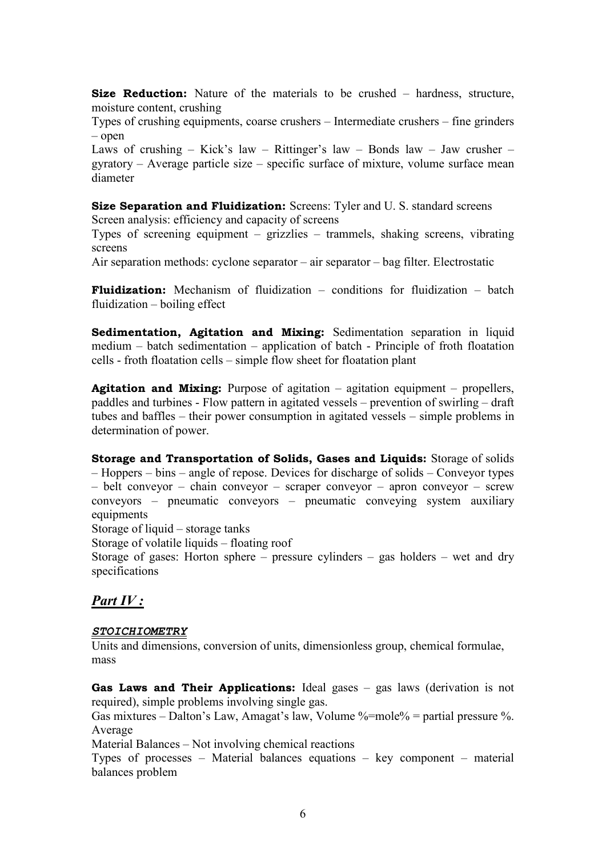Size Reduction: Nature of the materials to be crushed - hardness, structure, moisture content, crushing

Types of crushing equipments, coarse crushers – Intermediate crushers – fine grinders  $-$  open

Laws of crushing – Kick's law – Rittinger's law – Bonds law – Jaw crusher –  $gyratory - Average particle size - specific surface of mixture, volume surface mean$ diameter

Size Separation and Fluidization: Screens: Tyler and U.S. standard screens Screen analysis: efficiency and capacity of screens

Types of screening equipment  $-$  grizzlies  $-$  trammels, shaking screens, vibrating screens

Air separation methods: cyclone separator – air separator – bag filter. Electrostatic

**Fluidization:** Mechanism of fluidization – conditions for fluidization – batch fluidization  $-$  boiling effect

Sedimentation, Agitation and Mixing: Sedimentation separation in liquid medium – batch sedimentation – application of batch - Principle of froth floatation cells - froth floatation cells – simple flow sheet for floatation plant

**Agitation and Mixing:** Purpose of agitation  $-$  agitation equipment  $-$  propellers, paddles and turbines - Flow pattern in agitated vessels – prevention of swirling – draft tubes and baffles – their power consumption in agitated vessels – simple problems in determination of power.

Storage and Transportation of Solids, Gases and Liquids: Storage of solids - Hoppers – bins – angle of repose. Devices for discharge of solids – Conveyor types  $-$  belt convevor  $-$  chain convevor  $-$  scraper convevor  $-$  apron convevor  $-$  screw conveyors – pneumatic conveyors – pneumatic conveying system auxiliary equipments

Storage of liquid – storage tanks

Storage of volatile liquids – floating roof

Storage of gases: Horton sphere – pressure cylinders – gas holders – wet and dry specifications

## Part IV:

#### **STOICHIOMETRY**

Units and dimensions, conversion of units, dimensionless group, chemical formulae, mass

Gas Laws and Their Applications: Ideal gases  $-$  gas laws (derivation is not required), simple problems involving single gas.

Gas mixtures – Dalton's Law, Amagat's law, Volume %=mole% = partial pressure %. Average

Material Balances – Not involving chemical reactions

Types of processes – Material balances equations – key component – material balances problem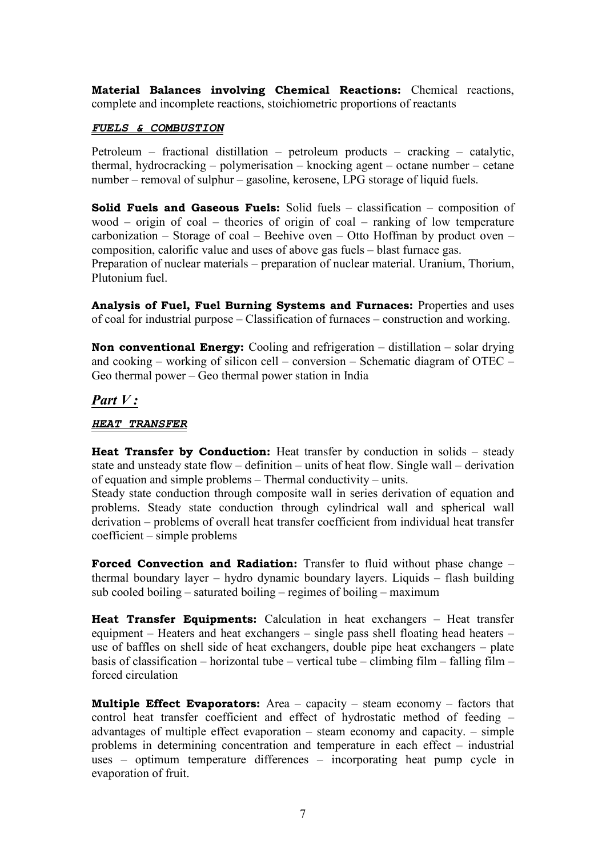Material Balances involving Chemical Reactions: Chemical reactions, complete and incomplete reactions, stoichiometric proportions of reactants

### FUELS & COMBUSTION

Petroleum – fractional distillation – petroleum products – cracking – catalytic, thermal, hydrocracking – polymerisation – knocking agent – octane number – cetane number – removal of sulphur – gasoline, kerosene, LPG storage of liquid fuels.

**Solid Fuels and Gaseous Fuels:** Solid fuels  $-$  classification  $-$  composition of wood – origin of coal – theories of origin of coal – ranking of low temperature carbonization – Storage of coal – Beehive oven – Otto Hoffman by product oven – composition, calorific value and uses of above gas fuels - blast furnace gas. Preparation of nuclear materials – preparation of nuclear material. Uranium, Thorium, Plutonium fuel

Analysis of Fuel, Fuel Burning Systems and Furnaces: Properties and uses of coal for industrial purpose – Classification of furnaces – construction and working.

**Non conventional Energy:** Cooling and refrigeration  $-$  distillation  $-$  solar drying and cooking – working of silicon cell – conversion – Schematic diagram of OTEC – Geo thermal power  $-$  Geo thermal power station in India

### Part  $V:$

#### **HEAT TRANSFER**

**Heat Transfer by Conduction:** Heat transfer by conduction in solids – steady state and unsteady state flow – definition – units of heat flow. Single wall – derivation of equation and simple problems – Thermal conductivity – units.

Steady state conduction through composite wall in series derivation of equation and problems. Steady state conduction through cylindrical wall and spherical wall derivation – problems of overall heat transfer coefficient from individual heat transfer  $coefficient$  – simple problems

Forced Convection and Radiation: Transfer to fluid without phase change thermal boundary layer – hydro dynamic boundary layers. Liquids – flash building sub cooled boiling – saturated boiling – regimes of boiling – maximum

**Heat Transfer Equipments:** Calculation in heat exchangers – Heat transfer equipment – Heaters and heat exchangers – single pass shell floating head heaters – use of baffles on shell side of heat exchangers, double pipe heat exchangers – plate basis of classification – horizontal tube – vertical tube – climbing film – falling film – forced circulation

**Multiple Effect Evaporators:** Area  $-$  capacity  $-$  steam economy  $-$  factors that control heat transfer coefficient and effect of hydrostatic method of feeding advantages of multiple effect evaporation  $-$  steam economy and capacity.  $-$  simple problems in determining concentration and temperature in each effect – industrial uses – optimum temperature differences – incorporating heat pump cycle in evaporation of fruit.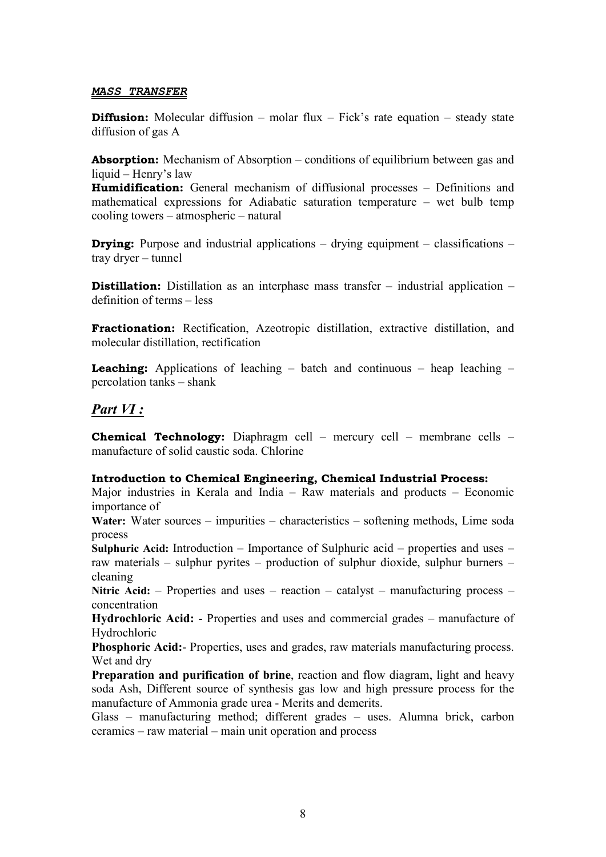#### **MASS TRANSFER**

**Diffusion:** Molecular diffusion – molar flux – Fick's rate equation – steady state diffusion of gas A

**Absorption:** Mechanism of Absorption – conditions of equilibrium between gas and liquid - Henry's law

**Humidification:** General mechanism of diffusional processes – Definitions and mathematical expressions for Adiabatic saturation temperature – wet bulb temp cooling towers – atmospheric – natural

**Drying:** Purpose and industrial applications  $-$  drying equipment  $-$  classifications  $$ trav drver – tunnel

**Distillation:** Distillation as an interphase mass transfer  $-$  industrial application  $$ definition of terms – less

Fractionation: Rectification, Azeotropic distillation, extractive distillation, and molecular distillation, rectification

**Leaching:** Applications of leaching  $-$  batch and continuous  $-$  heap leaching  $$ percolation tanks – shank

## $Part VI:$

**Chemical Technology:** Diaphragm cell - mercury cell - membrane cells manufacture of solid caustic soda Chlorine

#### **Introduction to Chemical Engineering, Chemical Industrial Process:**

Major industries in Kerala and India – Raw materials and products – Economic importance of

Water: Water sources – impurities – characteristics – softening methods, Lime soda process

Sulphuric Acid: Introduction – Importance of Sulphuric acid – properties and uses – raw materials – sulphur pyrites – production of sulphur dioxide, sulphur burners – cleaning

Nitric Acid:  $-$  Properties and uses  $-$  reaction  $-$  catalyst  $-$  manufacturing process  $$ concentration

Hydrochloric Acid: - Properties and uses and commercial grades – manufacture of Hydrochloric

Phosphoric Acid:- Properties, uses and grades, raw materials manufacturing process. Wet and dry

**Preparation and purification of brine**, reaction and flow diagram, light and heavy soda Ash, Different source of synthesis gas low and high pressure process for the manufacture of Ammonia grade urea - Merits and demerits.

Glass - manufacturing method; different grades - uses. Alumna brick, carbon ceramics – raw material – main unit operation and process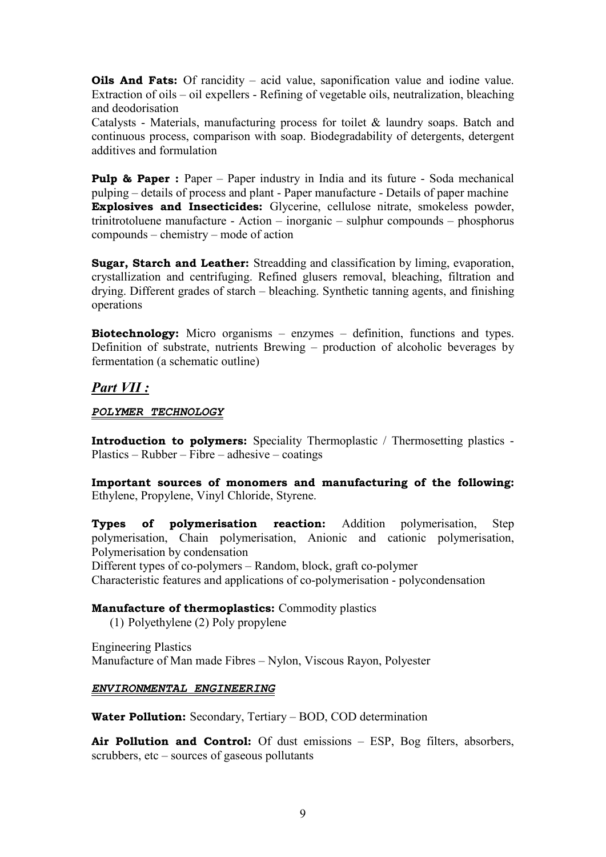**Oils And Fats:** Of rancidity  $-$  acid value, saponification value and iodine value. Extraction of oils – oil expellers - Refining of vegetable oils, neutralization, bleaching and deodorisation

Catalysts - Materials, manufacturing process for toilet & laundry soaps. Batch and continuous process, comparison with soap. Biodegradability of detergents, detergent additives and formulation

**Pulp & Paper:** Paper – Paper industry in India and its future - Soda mechanical pulping – details of process and plant - Paper manufacture - Details of paper machine **Explosives and Insecticides:** Glycerine, cellulose nitrate, smokeless powder, trinitrotoluene manufacture - Action – inorganic – sulphur compounds – phosphorus compounds – chemistry – mode of action

Sugar, Starch and Leather: Streadding and classification by liming, evaporation, crystallization and centrifuging. Refined glusers removal, bleaching, filtration and drying. Different grades of starch – bleaching. Synthetic tanning agents, and finishing operations

**Biotechnology:** Micro organisms – enzymes – definition, functions and types. Definition of substrate, nutrients Brewing – production of alcoholic beverages by fermentation (a schematic outline)

# **Part VII:**

POLYMER TECHNOLOGY

Introduction to polymers: Speciality Thermoplastic / Thermosetting plastics - $Plastics - Rubber - Fibre - adhesive - coatings$ 

Important sources of monomers and manufacturing of the following: Ethylene, Propylene, Vinyl Chloride, Styrene.

**polymerisation reaction:** Addition polymerisation, **Types** of **Step** polymerisation, Chain polymerisation, Anionic and cationic polymerisation, Polymerisation by condensation

Different types of co-polymers – Random, block, graft co-polymer

Characteristic features and applications of co-polymerisation - polycondensation

### Manufacture of thermoplastics: Commodity plastics

(1) Polyethylene (2) Poly propylene

**Engineering Plastics** Manufacture of Man made Fibres - Nylon, Viscous Rayon, Polyester

### ENVIRONMENTAL ENGINEERING

Water Pollution: Secondary, Tertiary - BOD, COD determination

Air Pollution and Control: Of dust emissions – ESP, Bog filters, absorbers, scrubbers,  $etc - sources$  of gaseous pollutants